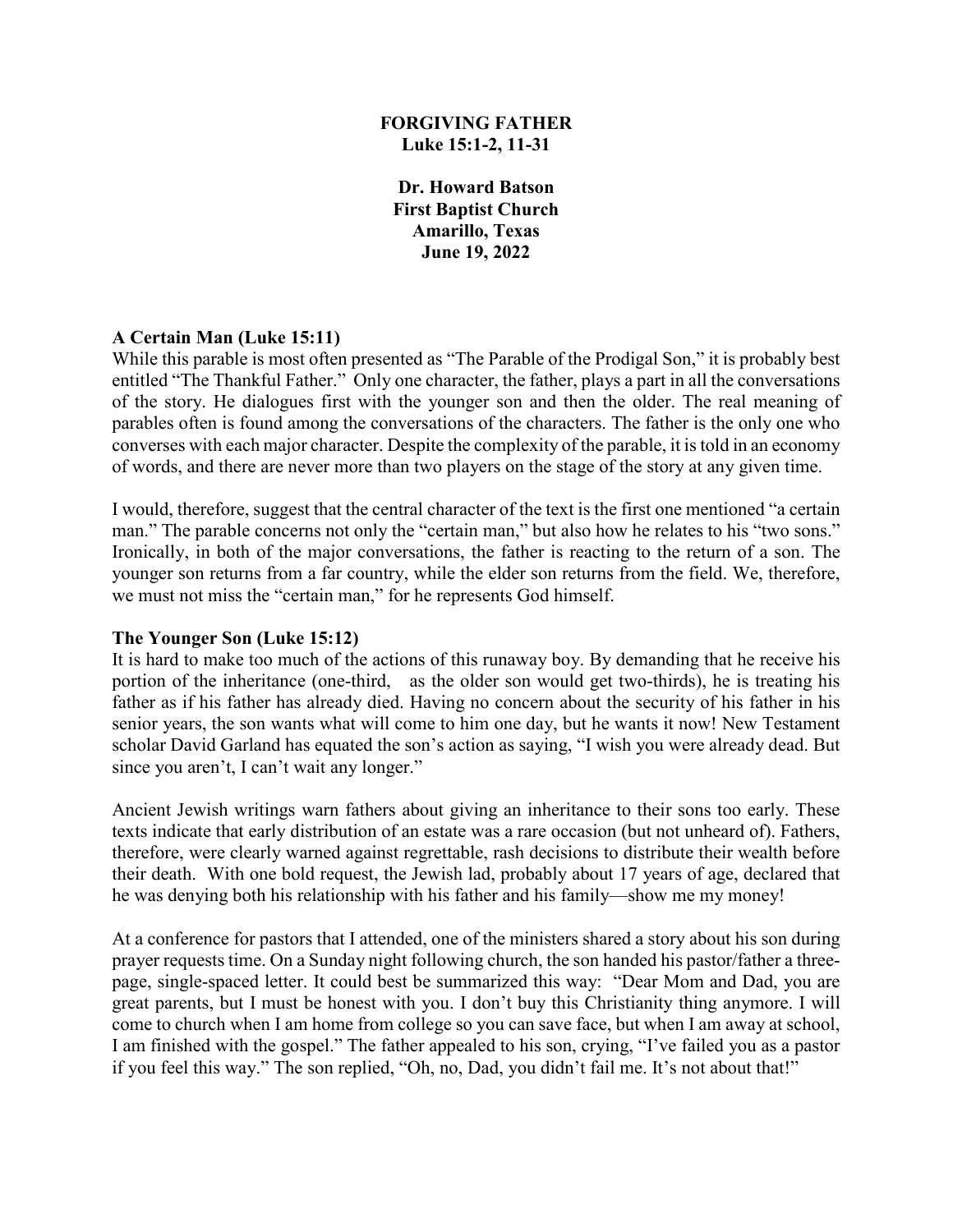### **FORGIVING FATHER Luke 15:1-2, 11-31**

**Dr. Howard Batson First Baptist Church Amarillo, Texas June 19, 2022**

### **A Certain Man (Luke 15:11)**

While this parable is most often presented as "The Parable of the Prodigal Son," it is probably best entitled "The Thankful Father." Only one character, the father, plays a part in all the conversations of the story. He dialogues first with the younger son and then the older. The real meaning of parables often is found among the conversations of the characters. The father is the only one who converses with each major character. Despite the complexity of the parable, it is told in an economy of words, and there are never more than two players on the stage of the story at any given time.

I would, therefore, suggest that the central character of the text is the first one mentioned "a certain man." The parable concerns not only the "certain man," but also how he relates to his "two sons." Ironically, in both of the major conversations, the father is reacting to the return of a son. The younger son returns from a far country, while the elder son returns from the field. We, therefore, we must not miss the "certain man," for he represents God himself.

### **The Younger Son (Luke 15:12)**

It is hard to make too much of the actions of this runaway boy. By demanding that he receive his portion of the inheritance (one-third, as the older son would get two-thirds), he is treating his father as if his father has already died. Having no concern about the security of his father in his senior years, the son wants what will come to him one day, but he wants it now! New Testament scholar David Garland has equated the son's action as saying, "I wish you were already dead. But since you aren't, I can't wait any longer."

Ancient Jewish writings warn fathers about giving an inheritance to their sons too early. These texts indicate that early distribution of an estate was a rare occasion (but not unheard of). Fathers, therefore, were clearly warned against regrettable, rash decisions to distribute their wealth before their death. With one bold request, the Jewish lad, probably about 17 years of age, declared that he was denying both his relationship with his father and his family—show me my money!

At a conference for pastors that I attended, one of the ministers shared a story about his son during prayer requests time. On a Sunday night following church, the son handed his pastor/father a threepage, single-spaced letter. It could best be summarized this way: "Dear Mom and Dad, you are great parents, but I must be honest with you. I don't buy this Christianity thing anymore. I will come to church when I am home from college so you can save face, but when I am away at school, I am finished with the gospel." The father appealed to his son, crying, "I've failed you as a pastor if you feel this way." The son replied, "Oh, no, Dad, you didn't fail me. It's not about that!"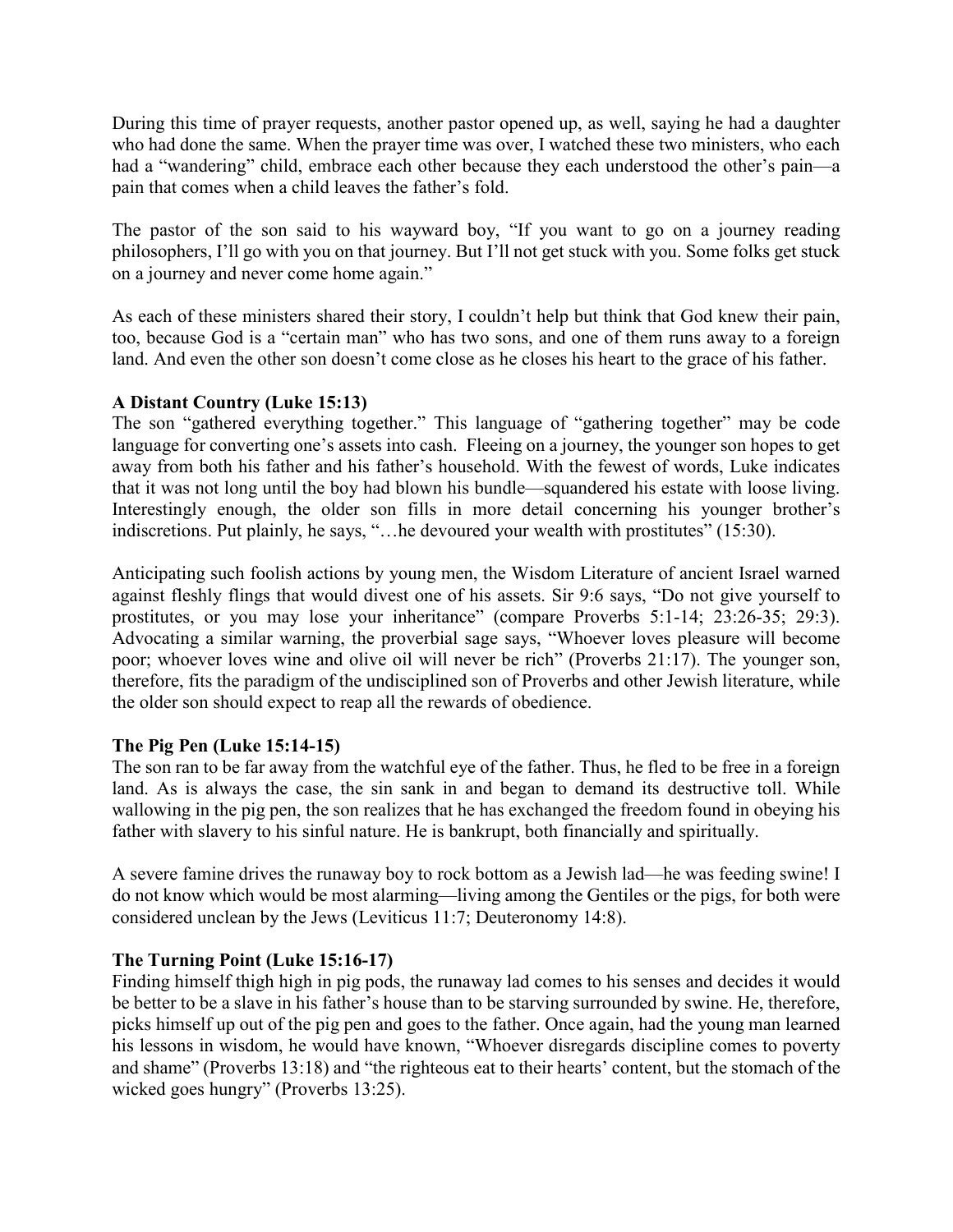During this time of prayer requests, another pastor opened up, as well, saying he had a daughter who had done the same. When the prayer time was over, I watched these two ministers, who each had a "wandering" child, embrace each other because they each understood the other's pain—a pain that comes when a child leaves the father's fold.

The pastor of the son said to his wayward boy, "If you want to go on a journey reading philosophers, I'll go with you on that journey. But I'll not get stuck with you. Some folks get stuck on a journey and never come home again."

As each of these ministers shared their story, I couldn't help but think that God knew their pain, too, because God is a "certain man" who has two sons, and one of them runs away to a foreign land. And even the other son doesn't come close as he closes his heart to the grace of his father.

# **A Distant Country (Luke 15:13)**

The son "gathered everything together." This language of "gathering together" may be code language for converting one's assets into cash. Fleeing on a journey, the younger son hopes to get away from both his father and his father's household. With the fewest of words, Luke indicates that it was not long until the boy had blown his bundle—squandered his estate with loose living. Interestingly enough, the older son fills in more detail concerning his younger brother's indiscretions. Put plainly, he says, "…he devoured your wealth with prostitutes" (15:30).

Anticipating such foolish actions by young men, the Wisdom Literature of ancient Israel warned against fleshly flings that would divest one of his assets. Sir 9:6 says, "Do not give yourself to prostitutes, or you may lose your inheritance" (compare Proverbs 5:1-14; 23:26-35; 29:3). Advocating a similar warning, the proverbial sage says, "Whoever loves pleasure will become poor; whoever loves wine and olive oil will never be rich" (Proverbs 21:17). The younger son, therefore, fits the paradigm of the undisciplined son of Proverbs and other Jewish literature, while the older son should expect to reap all the rewards of obedience.

### **The Pig Pen (Luke 15:14-15)**

The son ran to be far away from the watchful eye of the father. Thus, he fled to be free in a foreign land. As is always the case, the sin sank in and began to demand its destructive toll. While wallowing in the pig pen, the son realizes that he has exchanged the freedom found in obeying his father with slavery to his sinful nature. He is bankrupt, both financially and spiritually.

A severe famine drives the runaway boy to rock bottom as a Jewish lad—he was feeding swine! I do not know which would be most alarming—living among the Gentiles or the pigs, for both were considered unclean by the Jews (Leviticus 11:7; Deuteronomy 14:8).

# **The Turning Point (Luke 15:16-17)**

Finding himself thigh high in pig pods, the runaway lad comes to his senses and decides it would be better to be a slave in his father's house than to be starving surrounded by swine. He, therefore, picks himself up out of the pig pen and goes to the father. Once again, had the young man learned his lessons in wisdom, he would have known, "Whoever disregards discipline comes to poverty and shame" (Proverbs 13:18) and "the righteous eat to their hearts' content, but the stomach of the wicked goes hungry" (Proverbs 13:25).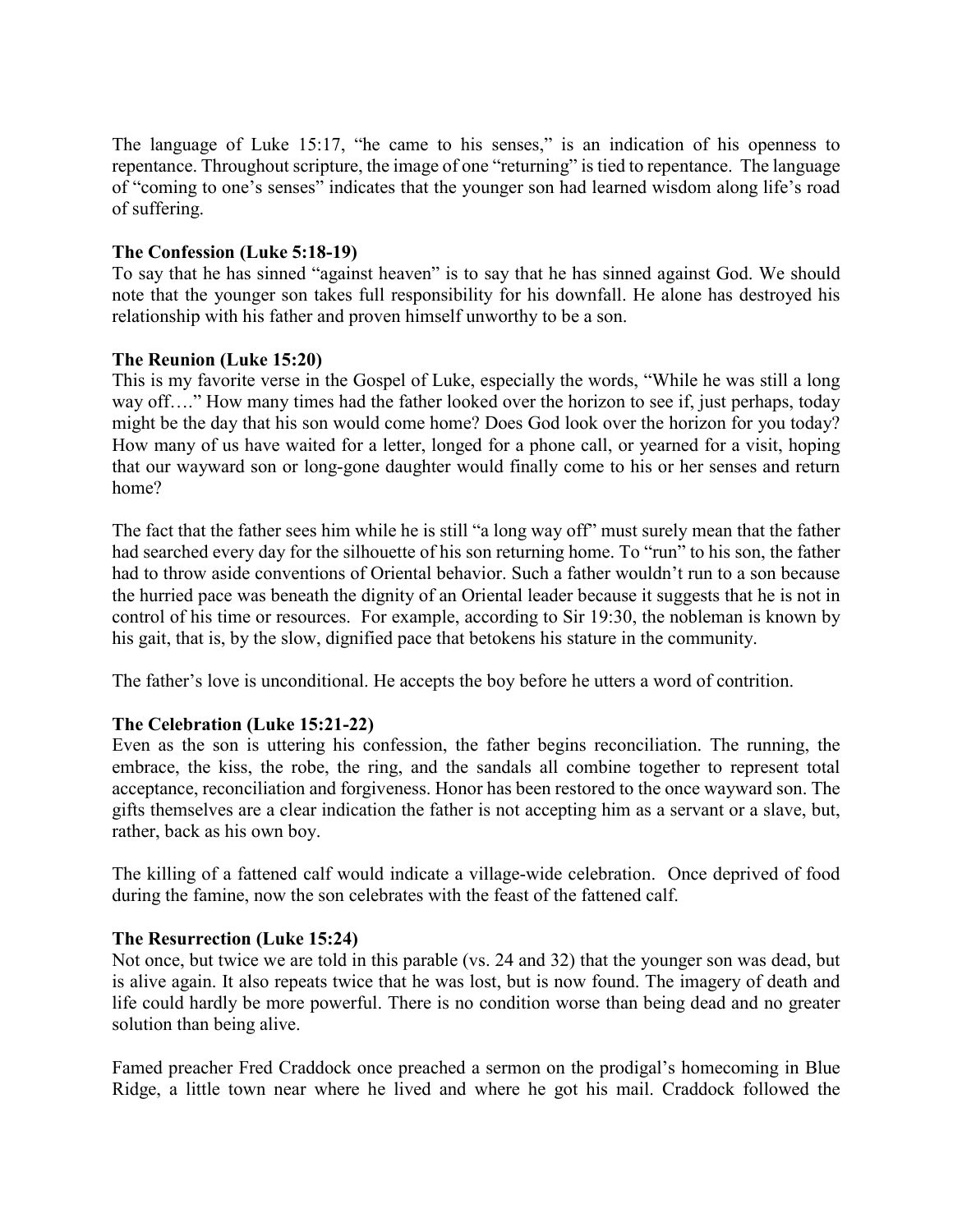The language of Luke 15:17, "he came to his senses," is an indication of his openness to repentance. Throughout scripture, the image of one "returning" is tied to repentance. The language of "coming to one's senses" indicates that the younger son had learned wisdom along life's road of suffering.

## **The Confession (Luke 5:18-19)**

To say that he has sinned "against heaven" is to say that he has sinned against God. We should note that the younger son takes full responsibility for his downfall. He alone has destroyed his relationship with his father and proven himself unworthy to be a son.

## **The Reunion (Luke 15:20)**

This is my favorite verse in the Gospel of Luke, especially the words, "While he was still a long way off...." How many times had the father looked over the horizon to see if, just perhaps, today might be the day that his son would come home? Does God look over the horizon for you today? How many of us have waited for a letter, longed for a phone call, or yearned for a visit, hoping that our wayward son or long-gone daughter would finally come to his or her senses and return home?

The fact that the father sees him while he is still "a long way off" must surely mean that the father had searched every day for the silhouette of his son returning home. To "run" to his son, the father had to throw aside conventions of Oriental behavior. Such a father wouldn't run to a son because the hurried pace was beneath the dignity of an Oriental leader because it suggests that he is not in control of his time or resources. For example, according to Sir 19:30, the nobleman is known by his gait, that is, by the slow, dignified pace that betokens his stature in the community.

The father's love is unconditional. He accepts the boy before he utters a word of contrition.

# **The Celebration (Luke 15:21-22)**

Even as the son is uttering his confession, the father begins reconciliation. The running, the embrace, the kiss, the robe, the ring, and the sandals all combine together to represent total acceptance, reconciliation and forgiveness. Honor has been restored to the once wayward son. The gifts themselves are a clear indication the father is not accepting him as a servant or a slave, but, rather, back as his own boy.

The killing of a fattened calf would indicate a village-wide celebration. Once deprived of food during the famine, now the son celebrates with the feast of the fattened calf.

### **The Resurrection (Luke 15:24)**

Not once, but twice we are told in this parable (vs. 24 and 32) that the younger son was dead, but is alive again. It also repeats twice that he was lost, but is now found. The imagery of death and life could hardly be more powerful. There is no condition worse than being dead and no greater solution than being alive.

Famed preacher Fred Craddock once preached a sermon on the prodigal's homecoming in Blue Ridge, a little town near where he lived and where he got his mail. Craddock followed the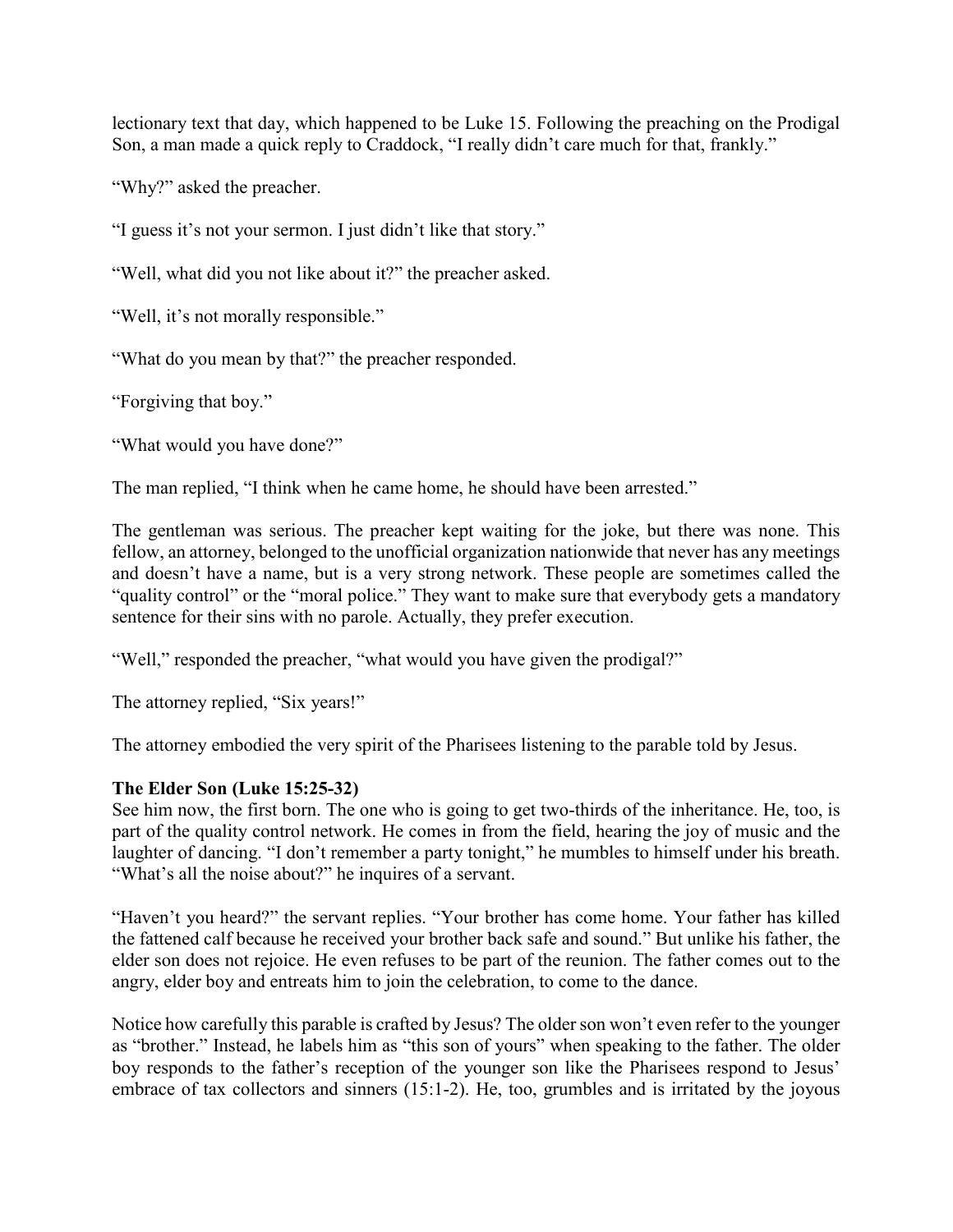lectionary text that day, which happened to be Luke 15. Following the preaching on the Prodigal Son, a man made a quick reply to Craddock, "I really didn't care much for that, frankly."

"Why?" asked the preacher.

"I guess it's not your sermon. I just didn't like that story."

"Well, what did you not like about it?" the preacher asked.

"Well, it's not morally responsible."

"What do you mean by that?" the preacher responded.

"Forgiving that boy."

"What would you have done?"

The man replied, "I think when he came home, he should have been arrested."

The gentleman was serious. The preacher kept waiting for the joke, but there was none. This fellow, an attorney, belonged to the unofficial organization nationwide that never has any meetings and doesn't have a name, but is a very strong network. These people are sometimes called the "quality control" or the "moral police." They want to make sure that everybody gets a mandatory sentence for their sins with no parole. Actually, they prefer execution.

"Well," responded the preacher, "what would you have given the prodigal?"

The attorney replied, "Six years!"

The attorney embodied the very spirit of the Pharisees listening to the parable told by Jesus.

# **The Elder Son (Luke 15:25-32)**

See him now, the first born. The one who is going to get two-thirds of the inheritance. He, too, is part of the quality control network. He comes in from the field, hearing the joy of music and the laughter of dancing. "I don't remember a party tonight," he mumbles to himself under his breath. "What's all the noise about?" he inquires of a servant.

"Haven't you heard?" the servant replies. "Your brother has come home. Your father has killed the fattened calf because he received your brother back safe and sound." But unlike his father, the elder son does not rejoice. He even refuses to be part of the reunion. The father comes out to the angry, elder boy and entreats him to join the celebration, to come to the dance.

Notice how carefully this parable is crafted by Jesus? The older son won't even refer to the younger as "brother." Instead, he labels him as "this son of yours" when speaking to the father. The older boy responds to the father's reception of the younger son like the Pharisees respond to Jesus' embrace of tax collectors and sinners (15:1-2). He, too, grumbles and is irritated by the joyous